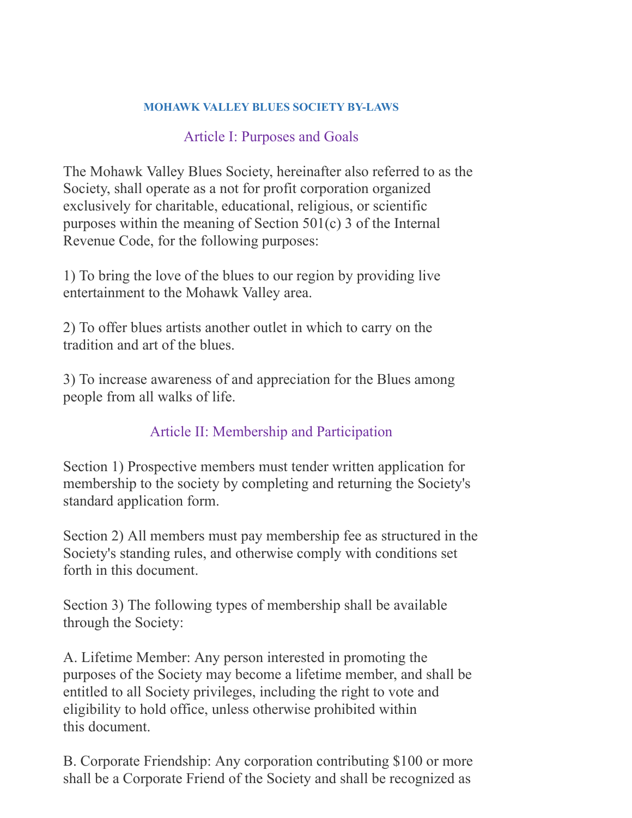#### **MOHAWK VALLEY BLUES SOCIETY BY-LAWS**

#### Article I: Purposes and Goals

The Mohawk Valley Blues Society, hereinafter also referred to as the Society, shall operate as a not for profit corporation organized exclusively for charitable, educational, religious, or scientific purposes within the meaning of Section 501(c) 3 of the Internal Revenue Code, for the following purposes:

1) To bring the love of the blues to our region by providing live entertainment to the Mohawk Valley area.

2) To offer blues artists another outlet in which to carry on the tradition and art of the blues.

3) To increase awareness of and appreciation for the Blues among people from all walks of life.

#### Article II: Membership and Participation

Section 1) Prospective members must tender written application for membership to the society by completing and returning the Society's standard application form.

Section 2) All members must pay membership fee as structured in the Society's standing rules, and otherwise comply with conditions set forth in this document.

Section 3) The following types of membership shall be available through the Society:

A. Lifetime Member: Any person interested in promoting the purposes of the Society may become a lifetime member, and shall be entitled to all Society privileges, including the right to vote and eligibility to hold office, unless otherwise prohibited within this document.

B. Corporate Friendship: Any corporation contributing \$100 or more shall be a Corporate Friend of the Society and shall be recognized as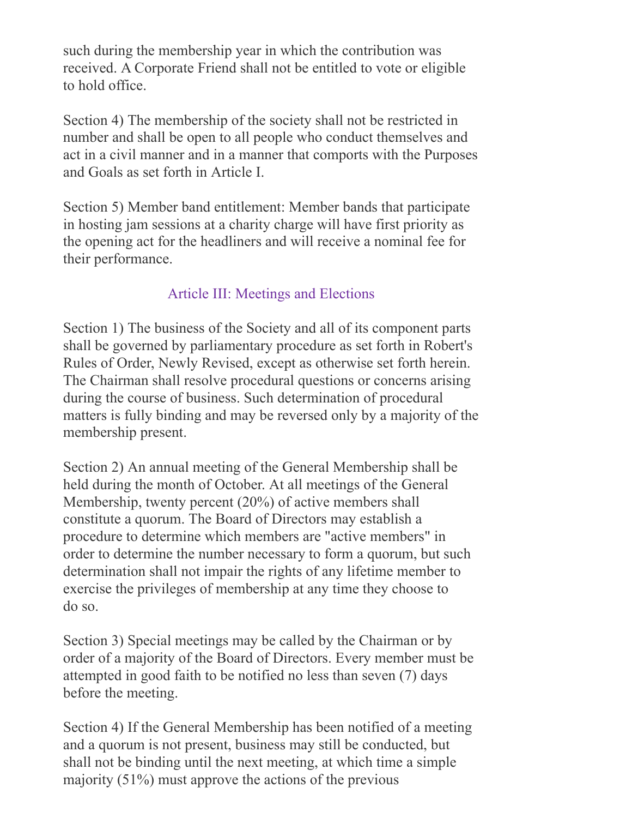such during the membership year in which the contribution was received. A Corporate Friend shall not be entitled to vote or eligible to hold office.

Section 4) The membership of the society shall not be restricted in number and shall be open to all people who conduct themselves and act in a civil manner and in a manner that comports with the Purposes and Goals as set forth in Article I.

Section 5) Member band entitlement: Member bands that participate in hosting jam sessions at a charity charge will have first priority as the opening act for the headliners and will receive a nominal fee for their performance.

### Article III: Meetings and Elections

Section 1) The business of the Society and all of its component parts shall be governed by parliamentary procedure as set forth in Robert's Rules of Order, Newly Revised, except as otherwise set forth herein. The Chairman shall resolve procedural questions or concerns arising during the course of business. Such determination of procedural matters is fully binding and may be reversed only by a majority of the membership present.

Section 2) An annual meeting of the General Membership shall be held during the month of October. At all meetings of the General Membership, twenty percent (20%) of active members shall constitute a quorum. The Board of Directors may establish a procedure to determine which members are "active members" in order to determine the number necessary to form a quorum, but such determination shall not impair the rights of any lifetime member to exercise the privileges of membership at any time they choose to do so.

Section 3) Special meetings may be called by the Chairman or by order of a majority of the Board of Directors. Every member must be attempted in good faith to be notified no less than seven (7) days before the meeting.

Section 4) If the General Membership has been notified of a meeting and a quorum is not present, business may still be conducted, but shall not be binding until the next meeting, at which time a simple majority (51%) must approve the actions of the previous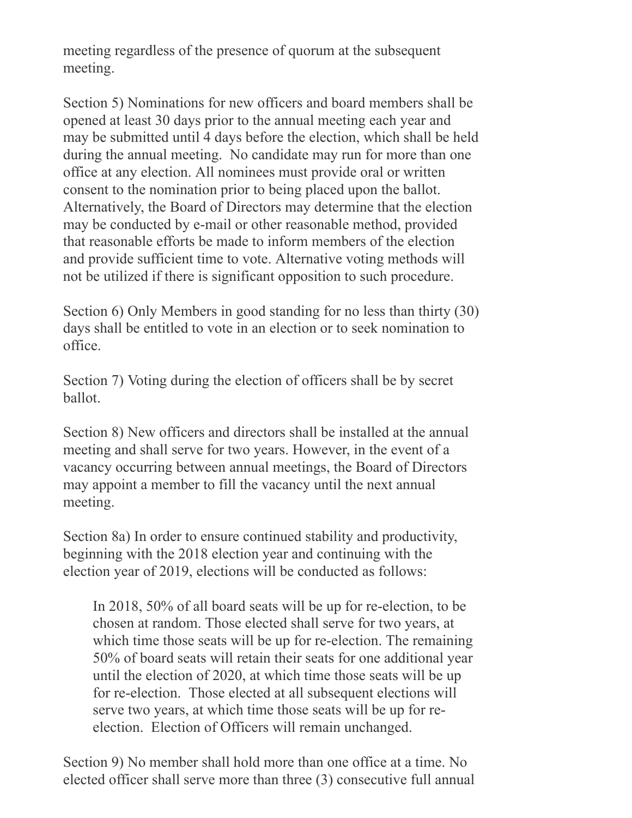meeting regardless of the presence of quorum at the subsequent meeting.

Section 5) Nominations for new officers and board members shall be opened at least 30 days prior to the annual meeting each year and may be submitted until 4 days before the election, which shall be held during the annual meeting. No candidate may run for more than one office at any election. All nominees must provide oral or written consent to the nomination prior to being placed upon the ballot. Alternatively, the Board of Directors may determine that the election may be conducted by e-mail or other reasonable method, provided that reasonable efforts be made to inform members of the election and provide sufficient time to vote. Alternative voting methods will not be utilized if there is significant opposition to such procedure.

Section 6) Only Members in good standing for no less than thirty (30) days shall be entitled to vote in an election or to seek nomination to office.

Section 7) Voting during the election of officers shall be by secret ballot.

Section 8) New officers and directors shall be installed at the annual meeting and shall serve for two years. However, in the event of a vacancy occurring between annual meetings, the Board of Directors may appoint a member to fill the vacancy until the next annual meeting.

Section 8a) In order to ensure continued stability and productivity, beginning with the 2018 election year and continuing with the election year of 2019, elections will be conducted as follows:

In 2018, 50% of all board seats will be up for re-election, to be chosen at random. Those elected shall serve for two years, at which time those seats will be up for re-election. The remaining 50% of board seats will retain their seats for one additional year until the election of 2020, at which time those seats will be up for re-election. Those elected at all subsequent elections will serve two years, at which time those seats will be up for reelection. Election of Officers will remain unchanged.

Section 9) No member shall hold more than one office at a time. No elected officer shall serve more than three (3) consecutive full annual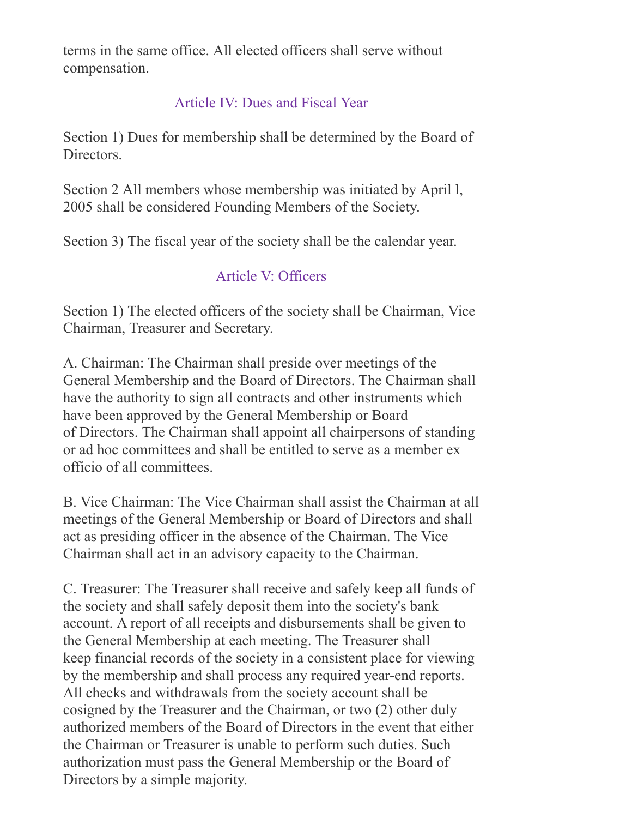terms in the same office. All elected officers shall serve without compensation.

## Article IV: Dues and Fiscal Year

Section 1) Dues for membership shall be determined by the Board of Directors.

Section 2 All members whose membership was initiated by April l, 2005 shall be considered Founding Members of the Society.

Section 3) The fiscal year of the society shall be the calendar year.

### Article V: Officers

Section 1) The elected officers of the society shall be Chairman, Vice Chairman, Treasurer and Secretary.

A. Chairman: The Chairman shall preside over meetings of the General Membership and the Board of Directors. The Chairman shall have the authority to sign all contracts and other instruments which have been approved by the General Membership or Board of Directors. The Chairman shall appoint all chairpersons of standing or ad hoc committees and shall be entitled to serve as a member ex officio of all committees.

B. Vice Chairman: The Vice Chairman shall assist the Chairman at all meetings of the General Membership or Board of Directors and shall act as presiding officer in the absence of the Chairman. The Vice Chairman shall act in an advisory capacity to the Chairman.

C. Treasurer: The Treasurer shall receive and safely keep all funds of the society and shall safely deposit them into the society's bank account. A report of all receipts and disbursements shall be given to the General Membership at each meeting. The Treasurer shall keep financial records of the society in a consistent place for viewing by the membership and shall process any required year-end reports. All checks and withdrawals from the society account shall be cosigned by the Treasurer and the Chairman, or two (2) other duly authorized members of the Board of Directors in the event that either the Chairman or Treasurer is unable to perform such duties. Such authorization must pass the General Membership or the Board of Directors by a simple majority.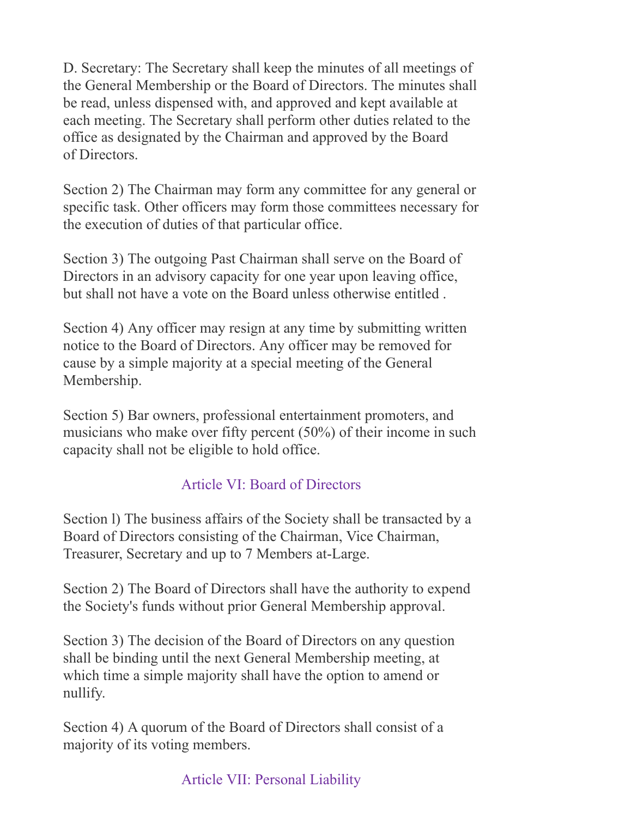D. Secretary: The Secretary shall keep the minutes of all meetings of the General Membership or the Board of Directors. The minutes shall be read, unless dispensed with, and approved and kept available at each meeting. The Secretary shall perform other duties related to the office as designated by the Chairman and approved by the Board of Directors.

Section 2) The Chairman may form any committee for any general or specific task. Other officers may form those committees necessary for the execution of duties of that particular office.

Section 3) The outgoing Past Chairman shall serve on the Board of Directors in an advisory capacity for one year upon leaving office, but shall not have a vote on the Board unless otherwise entitled .

Section 4) Any officer may resign at any time by submitting written notice to the Board of Directors. Any officer may be removed for cause by a simple majority at a special meeting of the General Membership.

Section 5) Bar owners, professional entertainment promoters, and musicians who make over fifty percent (50%) of their income in such capacity shall not be eligible to hold office.

# Article VI: Board of Directors

Section l) The business affairs of the Society shall be transacted by a Board of Directors consisting of the Chairman, Vice Chairman, Treasurer, Secretary and up to 7 Members at-Large.

Section 2) The Board of Directors shall have the authority to expend the Society's funds without prior General Membership approval.

Section 3) The decision of the Board of Directors on any question shall be binding until the next General Membership meeting, at which time a simple majority shall have the option to amend or nullify.

Section 4) A quorum of the Board of Directors shall consist of a majority of its voting members.

# Article VII: Personal Liability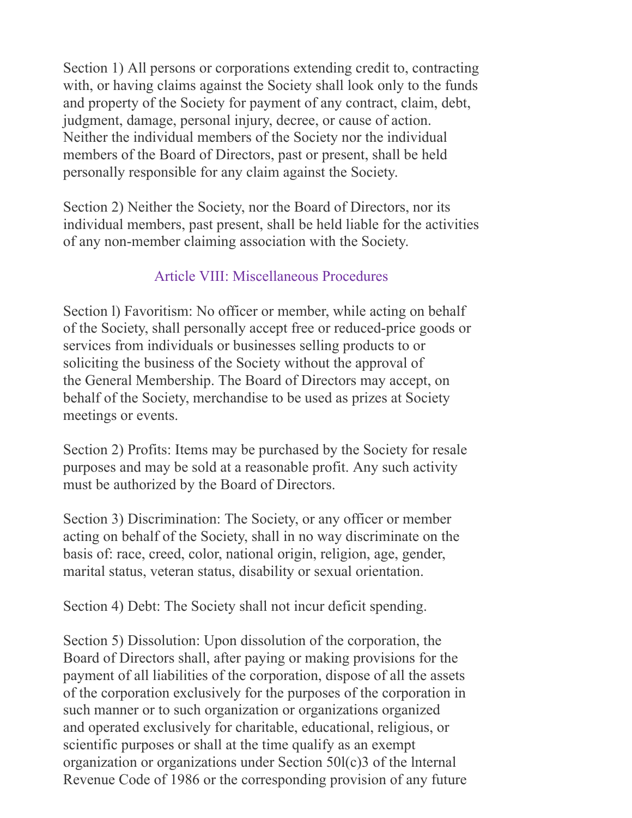Section 1) All persons or corporations extending credit to, contracting with, or having claims against the Society shall look only to the funds and property of the Society for payment of any contract, claim, debt, judgment, damage, personal injury, decree, or cause of action. Neither the individual members of the Society nor the individual members of the Board of Directors, past or present, shall be held personally responsible for any claim against the Society.

Section 2) Neither the Society, nor the Board of Directors, nor its individual members, past present, shall be held liable for the activities of any non-member claiming association with the Society.

#### Article VIII: Miscellaneous Procedures

Section l) Favoritism: No officer or member, while acting on behalf of the Society, shall personally accept free or reduced-price goods or services from individuals or businesses selling products to or soliciting the business of the Society without the approval of the General Membership. The Board of Directors may accept, on behalf of the Society, merchandise to be used as prizes at Society meetings or events.

Section 2) Profits: Items may be purchased by the Society for resale purposes and may be sold at a reasonable profit. Any such activity must be authorized by the Board of Directors.

Section 3) Discrimination: The Society, or any officer or member acting on behalf of the Society, shall in no way discriminate on the basis of: race, creed, color, national origin, religion, age, gender, marital status, veteran status, disability or sexual orientation.

Section 4) Debt: The Society shall not incur deficit spending.

Section 5) Dissolution: Upon dissolution of the corporation, the Board of Directors shall, after paying or making provisions for the payment of all liabilities of the corporation, dispose of all the assets of the corporation exclusively for the purposes of the corporation in such manner or to such organization or organizations organized and operated exclusively for charitable, educational, religious, or scientific purposes or shall at the time qualify as an exempt organization or organizations under Section 50l(c)3 of the lnternal Revenue Code of 1986 or the corresponding provision of any future